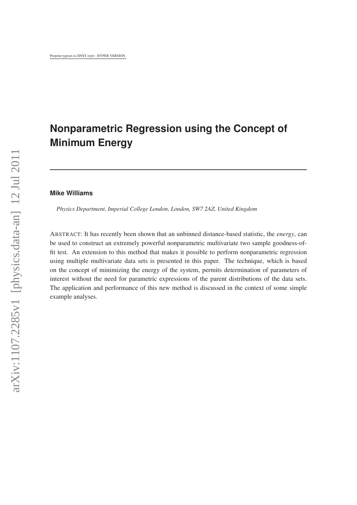# **Nonparametric Regression using the Concept of Minimum Energy**

# **Mike Williams**

*Physics Department, Imperial College London, London, SW7 2AZ, United Kingdom*

ABSTRACT: It has recently been shown that an unbinned distance-based statistic, the *energy*, can be used to construct an extremely powerful nonparametric multivariate two sample goodness-offit test. An extension to this method that makes it possible to perform nonparametric regression using multiple multivariate data sets is presented in this paper. The technique, which is based on the concept of minimizing the energy of the system, permits determination of parameters of interest without the need for parametric expressions of the parent distributions of the data sets. The application and performance of this new method is discussed in the context of some simple example analyses.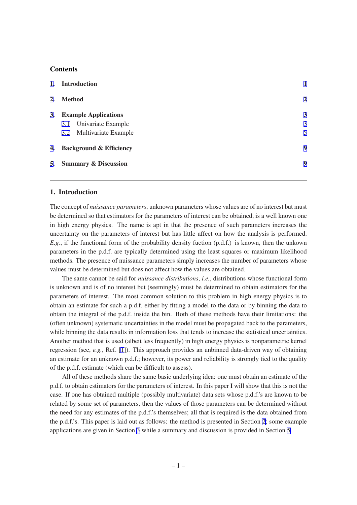# **Contents**

|           | 1. Introduction                    |                |  |
|-----------|------------------------------------|----------------|--|
| 2.        | <b>Method</b>                      | $\overline{2}$ |  |
| <b>3.</b> | <b>Example Applications</b>        | 3              |  |
|           | 3.1 Univariate Example             | 3              |  |
|           | 3.2 Multivariate Example           | 5              |  |
| 4.        | <b>Background &amp; Efficiency</b> |                |  |
|           | 5. Summary & Discussion            | 9              |  |
|           |                                    |                |  |

## 1. Introduction

The concept of *nuissance parameters*, unknown parameters whose values are of no interest but must be determined so that estimators for the parameters of interest can be obtained, is a well known one in high energy physics. The name is apt in that the presence of such parameters increases the uncertainty on the parameters of interest but has little affect on how the analysis is performed. *E.g.*, if the functional form of the probability density fuction (p.d.f.) is known, then the unkown parameters in the p.d.f. are typically determined using the least squares or maximum likelihood methods. The presence of nuissance parameters simply increases the number of parameters whose values must be determined but does not affect how the values are obtained.

The same cannot be said for *nuissance distributions*, *i.e.*, distributions whose functional form is unknown and is of no interest but (seemingly) must be determined to obtain estimators for the parameters of interest. The most common solution to this problem in high energy physics is to obtain an estimate for such a p.d.f. either by fitting a model to the data or by binning the data to obtain the integral of the p.d.f. inside the bin. Both of these methods have their limitations: the (often unknown) systematic uncertainties in the model must be propagated back to the parameters, while binning the data results in information loss that tends to increase the statistical uncertainties. Another method that is used (albeit less frequently) in high energy physics is nonparametric kernel regression (see, *e.g.*, Ref. [\[1\]](#page-10-0)). This approach provides an unbinned data-driven way of obtaining an estimate for an unknown p.d.f.; however, its power and reliability is strongly tied to the quality of the p.d.f. estimate (which can be difficult to assess).

All of these methods share the same basic underlying idea: one must obtain an estimate of the p.d.f. to obtain estimators for the parameters of interest. In this paper I will show that this is not the case. If one has obtained multiple (possibly multivariate) data sets whose p.d.f.'s are known to be related by some set of parameters, then the values of those parameters can be determined without the need for any estimates of the p.d.f.'s themselves; all that is required is the data obtained from the p.d.f.'s. This paper is laid out as follows: the method is presented in Section [2;](#page-2-0) some example applications are given in Section [3](#page-3-0) while a summary and discussion is provided in Section [5](#page-9-0).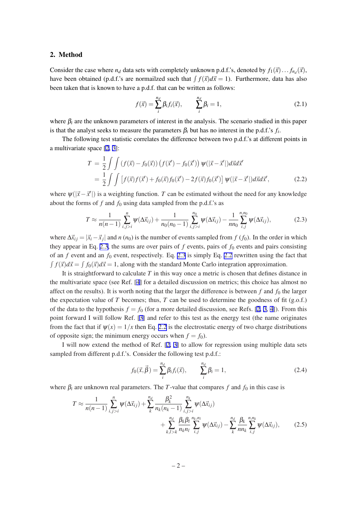#### <span id="page-2-0"></span>2. Method

Consider the case where  $n_d$  data sets with completely unknown p.d.f.'s, denoted by  $f_1(\vec{x}) \dots f_{n_d}(\vec{x})$ , have been obtained (p.d.f.'s are normailzed such that  $\int f(\vec{x}) d\vec{x} = 1$ ). Furthermore, data has also been taken that is known to have a p.d.f. that can be written as follows:

$$
f(\vec{x}) = \sum_{i}^{n_d} \beta_i f_i(\vec{x}), \qquad \sum_{i}^{n_d} \beta_i = 1,
$$
 (2.1)

where  $\beta_i$  are the unknown parameters of interest in the analysis. The scenario studied in this paper is that the analyst seeks to measure the parameters  $\beta_i$  but has no interest in the p.d.f.'s  $f_i$ .

The following test statistic correlates the difference between two p.d.f.'s at different points in a multivariate space [\[2,](#page-10-0) [3\]](#page-10-0):

$$
T = \frac{1}{2} \int \int (f(\vec{x}) - f_0(\vec{x})) (f(\vec{x}') - f_0(\vec{x}')) \psi(|\vec{x} - \vec{x}'|) d\vec{x} d\vec{x}'
$$
  
= 
$$
\frac{1}{2} \int \int [f(\vec{x}) f(\vec{x}') + f_0(\vec{x}) f_0(\vec{x}') - 2f(\vec{x}) f_0(\vec{x}')] \psi(|\vec{x} - \vec{x}'|) d\vec{x} d\vec{x}',
$$
(2.2)

where  $\psi(|\vec{x}-\vec{x}'|)$  is a weighting function. *T* can be estimated without the need for any knowledge about the forms of  $f$  and  $f_0$  using data sampled from the p.d.f.'s as

$$
T \approx \frac{1}{n(n-1)} \sum_{i,j>i}^{n} \psi(\Delta \vec{x}_{ij}) + \frac{1}{n_0(n_0-1)} \sum_{i,j>i}^{n_0} \psi(\Delta \vec{x}_{ij}) - \frac{1}{nn_0} \sum_{i,j}^{n,n_0} \psi(\Delta \vec{x}_{ij}),
$$
(2.3)

where  $\Delta \vec{x}_{ij} = |\vec{x}_i - \vec{x}_j|$  and *n* (*n*<sub>0</sub>) is the number of events sampled from *f* (*f*<sub>0</sub>). In the order in which they appear in Eq. 2.3, the sums are over pairs of  $f$  events, pairs of  $f_0$  events and pairs consisting of an  $f$  event and an  $f_0$  event, respectively. Eq. 2.3 is simply Eq. 2.2 rewritten using the fact that  $\int f(\vec{x})d\vec{x} = \int f_0(\vec{x})d\vec{x} = 1$ , along with the standard Monte Carlo integration approximation.

It is straightforward to calculate *T* in this way once a metric is chosen that defines distance in the multivariate space (see Ref. [[4](#page-10-0)] for a detailed discussion on metrics; this choice has almost no affect on the results). It is worth noting that the larger the difference is between  $f$  and  $f_0$  the larger the expectation value of  $T$  becomes; thus,  $T$  can be used to determine the goodness of fit (g.o.f.) of the data to the hypothesis  $f = f_0$  (for a more detailed discussion, see Refs. [\[2,](#page-10-0) [3,](#page-10-0) [4\]](#page-10-0)). From this point forward I will follow Ref. [[3](#page-10-0)] and refer to this test as the energy test (the name originates from the fact that if  $\psi(x) = 1/x$  then Eq. 2.2 is the electrostatic energy of two charge distributions of opposite sign; the minimum energy occurs when  $f = f_0$ ).

I will now extend the method of Ref. [[2](#page-10-0), [3](#page-10-0)] to allow for regression using multiple data sets sampled from different p.d.f.'s. Consider the following test p.d.f.:

$$
f_0(\vec{x}, \vec{\beta}) = \sum_{i}^{n_d} \beta_i f_i(\vec{x}), \qquad \sum_{i}^{n_d} \beta_i = 1,
$$
 (2.4)

where  $\beta_i$  are unknown real parameters. The *T*-value that compares *f* and  $f_0$  in this case is

$$
T \approx \frac{1}{n(n-1)} \sum_{i,j>i}^{n} \psi(\Delta \vec{x}_{ij}) + \sum_{k}^{n_d} \frac{\beta_k^2}{n_k(n_k-1)} \sum_{i,j>i}^{n_k} \psi(\Delta \vec{x}_{ij}) + \sum_{k,l>k}^{n_d} \frac{\beta_k \beta_l}{n_k n_l} \sum_{i,j}^{n_k n_l} \psi(\Delta \vec{x}_{ij}) - \sum_{k}^{n_d} \frac{\beta_k}{n n_k} \sum_{i,j}^{n_n n_k} \psi(\Delta \vec{x}_{ij}), \qquad (2.5)
$$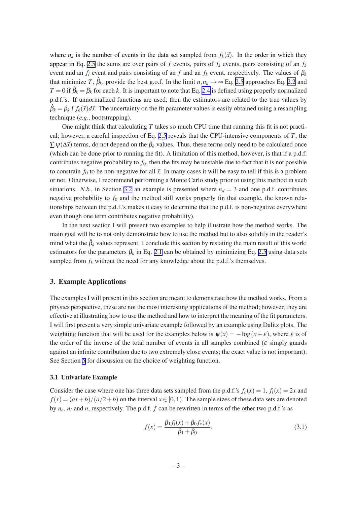<span id="page-3-0"></span>where  $n_k$  is the number of events in the data set sampled from  $f_k(\vec{x})$ . In the order in which they appear in Eq. [2.5](#page-2-0) the sums are over pairs of  $f$  events, pairs of  $f_k$  events, pairs consisting of an  $f_k$ event and an  $f_l$  event and pairs consisting of an  $f$  and an  $f_k$  event, respectively. The values of  $\beta_k$ that minimize *T*,  $\hat{\beta}_k$ , provide the best g.o.f. In the limit  $n, n_k \to \infty$  Eq. [2.5](#page-2-0) approaches Eq. [2.2](#page-2-0) and  $T = 0$  if  $\hat{\beta}_k = \beta_k$  for each *k*. It is important to note that Eq. [2.4](#page-2-0) is defined using properly normalized p.d.f.'s. If unnormalized functions are used, then the estimators are related to the true values by  $\hat{\beta}_k = \beta_k \int f_k(\vec{x}) d\vec{x}$ . The uncertainty on the fit parameter values is easily obtained using a resampling technique (*e.g.*, bootstrapping).

One might think that calculating *T* takes so much CPU time that running this fit is not practical; however, a careful inspection of Eq. [2.5](#page-2-0) reveals that the CPU-intensive components of *T*, the  $\sum \psi(\Delta \vec{x})$  terms, do not depend on the  $\beta_k$  values. Thus, these terms only need to be calculated once (which can be done prior to running the fit). A limitation of this method, however, is that if a p.d.f. contributes negative probability to  $f_0$ , then the fits may be unstable due to fact that it is not possible to constrain  $f_0$  to be non-negative for all  $\vec{x}$ . In many cases it will be easy to tell if this is a problem or not. Otherwise, I recommend performing a Monte Carlo study prior to using this method in such situations. *N.b.*, in Section [3.2](#page-5-0) an example is presented where  $n_d = 3$  and one p.d.f. contributes negative probability to  $f_0$  and the method still works properly (in that example, the known relationships between the p.d.f.'s makes it easy to determine that the p.d.f. is non-negative everywhere even though one term contributes negative probability).

In the next section I will present two examples to help illustrate how the method works. The main goal will be to not only demonstrate how to use the method but to also solidify in the reader's mind what the  $\hat{\beta}_k$  values represent. I conclude this section by restating the main result of this work: estimators for the parameters  $\beta_k$  in Eq. [2.1](#page-2-0) can be obtained by minimizing Eq. [2.5](#page-2-0) using data sets sampled from  $f_k$  without the need for any knowledge about the p.d.f.'s themselves.

### 3. Example Applications

The examples I will present in this section are meant to demonstrate how the method works. From a physics perspective, these are not the most interesting applications of the method; however, they are effective at illustrating how to use the method and how to interpret the meaning of the fit parameters. I will first present a very simple univariate example followed by an example using Dalitz plots. The weighting function that will be used for the examples below is  $\psi(x) = -\log(x + \varepsilon)$ , where  $\varepsilon$  is of the order of the inverse of the total number of events in all samples combined ( $\varepsilon$  simply guards against an infinite contribution due to two extremely close events; the exact value is not important). See Section [5](#page-9-0) for discussion on the choice of weighting function.

#### 3.1 Univariate Example

Consider the case where one has three data sets sampled from the p.d.f.'s  $f_c(x) = 1$ ,  $f_l(x) = 2x$  and  $f(x) = (ax + b)/(a/2 + b)$  on the interval  $x \in [0, 1)$ . The sample sizes of these data sets are denoted by  $n_c$ ,  $n_l$  and  $n$ , respectively. The p.d.f.  $f$  can be rewritten in terms of the other two p.d.f.'s as

$$
f(x) = \frac{\beta_1 f_l(x) + \beta_0 f_c(x)}{\beta_1 + \beta_0},
$$
\n(3.1)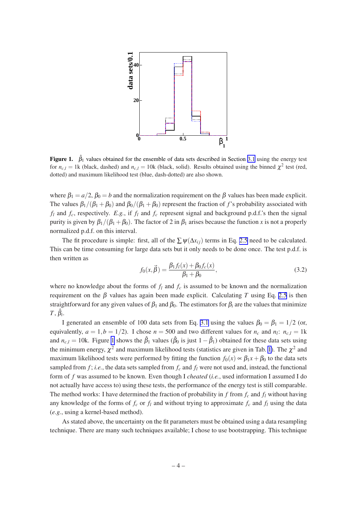

**Figure 1.**  $\hat{\beta}_1$  values obtained for the ensemble of data sets described in Section [3.1](#page-3-0) using the energy test for  $n_{c,l} = 1$ k (black, dashed) and  $n_{c,l} = 10$ k (black, solid). Results obtained using the binned  $\chi^2$  test (red, dotted) and maximum likelihood test (blue, dash-dotted) are also shown.

where  $\beta_1 = a/2$ ,  $\beta_0 = b$  and the normalization requirement on the  $\beta$  values has been made explicit. The values  $\beta_1/(\beta_1 + \beta_0)$  and  $\beta_0/(\beta_1 + \beta_0)$  represent the fraction of f's probability associated with  $f_l$  and  $f_c$ , respectively. *E.g.*, if  $f_l$  and  $f_c$  represent signal and background p.d.f.'s then the signal purity is given by  $\beta_1/(\beta_1 + \beta_0)$ . The factor of 2 in  $\beta_1$  arises because the function *x* is not a properly normalized p.d.f. on this interval.

The fit procedure is simple: first, all of the  $\sum \psi(\Delta x_i)$  terms in Eq. [2.5](#page-2-0) need to be calculated. This can be time consuming for large data sets but it only needs to be done once. The test p.d.f. is then written as

$$
f_0(x,\vec{\beta}) = \frac{\beta_1 f_l(x) + \beta_0 f_c(x)}{\beta_1 + \beta_0},\tag{3.2}
$$

where no knowledge about the forms of  $f_l$  and  $f_c$  is assumed to be known and the normalization requirement on the β values has again been made explicit. Calculating T using Eq. [2.5](#page-2-0) is then straightforward for any given values of  $\beta_1$  and  $\beta_0$ . The estimators for  $\beta_i$  are the values that minimize *T*, ˆβ*i* .

I generated an ensemble of 100 data sets from Eq. [3.1](#page-3-0) using the values  $\beta_0 = \beta_1 = 1/2$  (or, equivalently,  $a = 1, b = 1/2$ . I chose  $n = 500$  and two different values for  $n_c$  and  $n_l$ :  $n_{c,l} = 1$ k and  $n_{c,l} = 10$ k. Figure 1 shows the  $\hat{\beta}_1$  values ( $\hat{\beta}_0$  is just  $1-\hat{\beta}_1$ ) obtained for these data sets using the minimum energy,  $\chi^2$  and maximum likelihood tests (statistics are given in Tab. [1](#page-5-0)). The  $\chi^2$  and maximum likelihood tests were performed by fitting the function  $f_0(x) \propto \beta_1 x + \beta_0$  to the data sets sampled from  $f$ ; *i.e.*, the data sets sampled from  $f_c$  and  $f_l$  were not used and, instead, the functional form of *f* was assumed to be known. Even though I *cheated* (*i.e.*, used information I assumed I do not actually have access to) using these tests, the performance of the energy test is still comparable. The method works: I have determined the fraction of probability in *f* from *f<sup>c</sup>* and *f<sup>l</sup>* without having any knowledge of the forms of  $f_c$  or  $f_l$  and without trying to approximate  $f_c$  and  $f_l$  using the data (*e.g.*, using a kernel-based method).

As stated above, the uncertainty on the fit parameters must be obtained using a data resampling technique. There are many such techniques available; I chose to use bootstrapping. This technique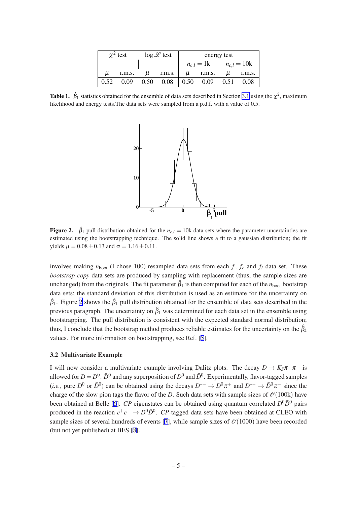|      | $\chi^2$ test |                   | $\log \mathscr{L}$ test |              | energy test |                 |        |  |
|------|---------------|-------------------|-------------------------|--------------|-------------|-----------------|--------|--|
|      |               |                   |                         | $n_{c,l}=1k$ |             | $n_{c,l} = 10k$ |        |  |
| u    | r.m.s.        | и                 | r.m.s.                  | μ            | r.m.s.      | и               | r.m.s. |  |
| 0.52 | 0.09          | 0.50 <sub>1</sub> | 0.08                    | 0.50         | 0.09        | 0.51            | 0.08   |  |

<span id="page-5-0"></span>**Table 1.**  $\hat{\beta}_1$  statistics obtained for the ensemble of data sets described in Section [3.1](#page-3-0) using the  $\chi^2$ , maximum likelihood and energy tests.The data sets were sampled from a p.d.f. with a value of 0.5.



**Figure 2.**  $\hat{\beta}_1$  pull distribution obtained for the  $n_{c,l} = 10k$  data sets where the parameter uncertainties are estimated using the bootstrapping technique. The solid line shows a fit to a gaussian distribution; the fit yields  $\mu = 0.08 \pm 0.13$  and  $\sigma = 1.16 \pm 0.11$ .

involves making  $n_{\text{boot}}$  (I chose 100) resampled data sets from each *f*,  $f_c$  and  $f_l$  data set. These *bootstrap copy* data sets are produced by sampling with replacement (thus, the sample sizes are unchanged) from the originals. The fit parameter  $\hat{\beta}_1$  is then computed for each of the  $n_{boot}$  bootstrap data sets; the standard deviation of this distribution is used as an estimate for the uncertainty on  $\hat{\beta}_1$ . Figure 2 shows the  $\hat{\beta}_1$  pull distribution obtained for the ensemble of data sets described in the previous paragraph. The uncertainty on  $\hat{\beta}_1$  was determined for each data set in the ensemble using bootstrapping. The pull distribution is consistent with the expected standard normal distribution; thus, I conclude that the bootstrap method produces reliable estimates for the uncertainty on the  $\hat{\beta}_k$ values. For more information on bootstrapping, see Ref. [[5](#page-10-0)].

#### 3.2 Multivariate Example

I will now consider a multivariate example involving Dalitz plots. The decay  $D \to K_S \pi^+ \pi^-$  is allowed for  $D = D^0$ ,  $\bar{D}^0$  and any superposition of  $D^0$  and  $\bar{D}^0$ . Experimentally, flavor-tagged samples (*i.e.*, pure  $D^0$  or  $\bar{D}^0$ ) can be obtained using the decays  $D^{*+} \to D^0 \pi^+$  and  $D^{*-} \to \bar{D}^0 \pi^-$  since the charge of the slow pion tags the flavor of the *D*. Such data sets with sample sizes of  $\mathcal{O}(100k)$  have been obtained at Belle [\[6\]](#page-10-0). *CP* eigenstates can be obtained using quantum correlated  $D^0\overline{D}^0$  pairs produced in the reaction  $e^+e^- \to D^0\bar{D}^0$ . *CP*-tagged data sets have been obtained at CLEO with sample sizes of several hundreds of events [\[7\]](#page-10-0), while sample sizes of  $\mathcal{O}(1000)$  have been recorded (but not yet published) at BES [[8](#page-10-0)].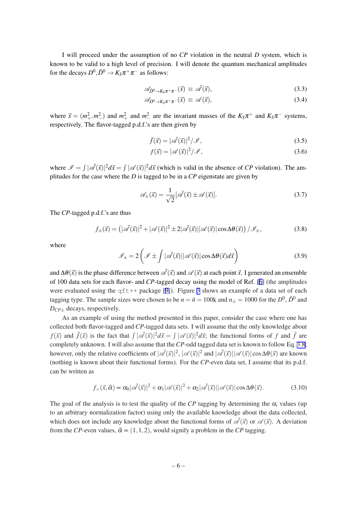<span id="page-6-0"></span>I will proceed under the assumption of no *CP* violation in the neutral *D* system, which is known to be valid to a high level of precision. I will denote the quantum mechanical amplitudes for the decays  $D^0, \bar{D}^0 \to K_S \pi^+ \pi^-$  as follows:

$$
\mathscr{A}_{\bar{D}^0 \to K_S \pi^+ \pi^-}(\vec{x}) \equiv \mathscr{\bar{A}}(\vec{x}), \tag{3.3}
$$

$$
\mathscr{A}_{D^0 \to K_S \pi^+ \pi^-}(\vec{x}) \equiv \mathscr{A}(\vec{x}), \tag{3.4}
$$

where  $\vec{x} = (m_+^2, m_-^2)$  and  $m_+^2$  and  $m_-^2$  are the invariant masses of the  $K_S \pi^+$  and  $K_S \pi^-$  systems, respectively. The flavor-tagged p.d.f.'s are then given by

$$
\bar{f}(\vec{x}) = |\vec{\mathscr{A}}(\vec{x})|^2 / \mathscr{I},\tag{3.5}
$$

$$
f(\vec{x}) = |\mathscr{A}(\vec{x})|^2 / \mathscr{I},\tag{3.6}
$$

where  $\mathscr{I} = \int |\mathscr{A}(\vec{x})|^2 d\vec{x} = \int |\mathscr{A}(\vec{x})|^2 d\vec{x}$  (which is valid in the absence of *CP* violation). The amplitudes for the case where the *D* is tagged to be in a *CP* eigenstate are given by

$$
\mathscr{A}_{\pm}(\vec{x}) = \frac{1}{\sqrt{2}} [\vec{\mathscr{A}}(\vec{x}) \pm \mathscr{A}(\vec{x})]. \tag{3.7}
$$

The *CP*-tagged p.d.f.'s are thus

$$
f_{\pm}(\vec{x}) = (|\vec{\mathscr{A}}(\vec{x})|^2 + |\vec{\mathscr{A}}(\vec{x})|^2 \pm 2|\vec{\mathscr{A}}(\vec{x})| |\vec{\mathscr{A}}(\vec{x})| \cos \Delta \theta(\vec{x}))/\mathscr{I}_{\pm},
$$
\n(3.8)

where

$$
\mathscr{I}_{\pm} = 2\left(\mathscr{I} \pm \int |\bar{\mathscr{A}}(\vec{x})| |\mathscr{A}(\vec{x})| \cos \Delta \theta(\vec{x}) d\vec{x}\right) \tag{3.9}
$$

and  $\Delta\theta(\vec{x})$  is the phase difference between  $\vec{\mathcal{A}}(\vec{x})$  and  $\mathcal{A}(\vec{x})$  at each point  $\vec{x}$ . I generated an ensemble of 100 data sets for each flavor- and *CP*-tagged decay using the model of Ref. [\[6\]](#page-10-0) (the amplitudes were evaluated using the  $qf$ t++ package [\[9\]](#page-10-0)). Figure [3](#page-7-0) shows an example of a data set of each tagging type. The sample sizes were chosen to be  $n = \bar{n} = 100k$  and  $n_{\pm} = 1000$  for the  $D^0$ ,  $\bar{D}^0$  and *DCP*<sup>±</sup> decays, respectively.

As an example of using the method presented in this paper, consider the case where one has collected both flavor-tagged and *CP*-tagged data sets. I will assume that the only knowledge about  $f(\vec{x})$  and  $\bar{f}(\vec{x})$  is the fact that  $\int |\vec{\mathscr{A}}(\vec{x})|^2 d\vec{x} = \int |\mathscr{A}(\vec{x})|^2 d\vec{x}$ ; the functional forms of *f* and  $\bar{f}$  are completely unknown. I will also assume that the*CP*-odd tagged data set is known to follow Eq. 3.8; however, only the relative coefficients of  $|\bar{\mathscr{A}}(\vec{x})|^2$ ,  $|\mathscr{A}(\vec{x})|^2$  and  $|\bar{\mathscr{A}}(\vec{x})| |\mathscr{A}(\vec{x})| \cos \Delta\theta(\vec{x})$  are known (nothing is known about their functional forms). For the *CP*-even data set, I assume that its p.d.f. can be written as

$$
f_{+}(\vec{x}, \vec{\alpha}) \propto \alpha_0 |\vec{\mathscr{A}}(\vec{x})|^2 + \alpha_1 |\mathscr{A}(\vec{x})|^2 + \alpha_2 |\vec{\mathscr{A}}(\vec{x})| |\mathscr{A}(\vec{x})| \cos \Delta \theta(\vec{x}). \tag{3.10}
$$

The goal of the analysis is to test the quality of the *CP* tagging by determining the  $\alpha_i$  values (up to an arbitrary normalization factor) using only the available knowledge about the data collected, which does not include any knowledge about the functional forms of  $\overline{\mathscr{A}}(\vec{x})$  or  $\mathscr{A}(\vec{x})$ . A deviation from the *CP*-even values,  $\vec{\alpha} \propto (1,1,2)$ , would signify a problem in the *CP* tagging.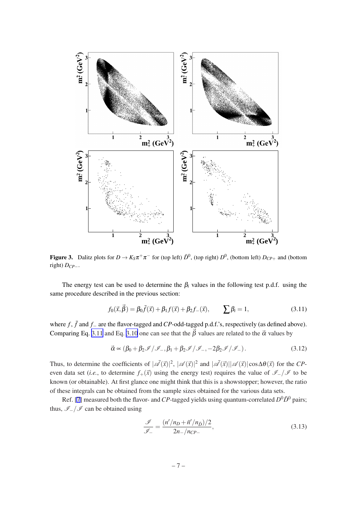<span id="page-7-0"></span>

Figure 3. Dalitz plots for  $D \to K_S \pi^+ \pi^-$  for (top left)  $\bar{D}^0$ , (top right)  $D^0$ , (bottom left)  $D_{CP+}$  and (bottom right) *DCP*−.

The energy test can be used to determine the  $\beta_i$  values in the following test p.d.f. using the same procedure described in the previous section:

$$
f_0(\vec{x}, \vec{\beta}) = \beta_0 \bar{f}(\vec{x}) + \beta_1 f(\vec{x}) + \beta_2 f_-(\vec{x}), \qquad \sum \beta_i = 1,
$$
 (3.11)

where *f* , ¯*f* and *f*<sup>−</sup> are the flavor-tagged and*CP*-odd-tagged p.d.f.'s, respectively (as defined above). Comparing Eq. 3.11 and Eq. [3.10](#page-6-0) one can see that the  $\vec{\beta}$  values are related to the  $\vec{\alpha}$  values by

$$
\vec{\alpha} \propto (\beta_0 + \beta_2 \mathscr{I} / \mathscr{I}_-, \beta_1 + \beta_2 \mathscr{I} / \mathscr{I}_-, -2\beta_2 \mathscr{I} / \mathscr{I}_-). \tag{3.12}
$$

Thus, to determine the coefficients of  $|\vec{A}(\vec{x})|^2$ ,  $|\vec{A}(\vec{x})|^2$  and  $|\vec{A}(\vec{x})| |\vec{A}(\vec{x})| \cos \Delta \theta(\vec{x})$  for the *CP*even data set (*i.e.*, to determine  $f_+(\vec{x})$  using the energy test) requires the value of  $\mathcal{I}_-/\mathcal{I}$  to be known (or obtainable). At first glance one might think that this is a showstopper; however, the ratio of these integrals can be obtained from the sample sizes obtained for the various data sets.

Ref. [\[7\]](#page-10-0) measured both the flavor- and *CP*-tagged yields using quantum-correlated  $D^0\bar{D}^0$  pairs; thus,  $\mathcal{I}_-/\mathcal{I}$  can be obtained using

$$
\frac{\mathcal{I}}{\mathcal{I}_-} = \frac{(n'/n_D + \bar{n}'/n_{\bar{D}})/2}{2n_-/n_{CP-}},
$$
\n(3.13)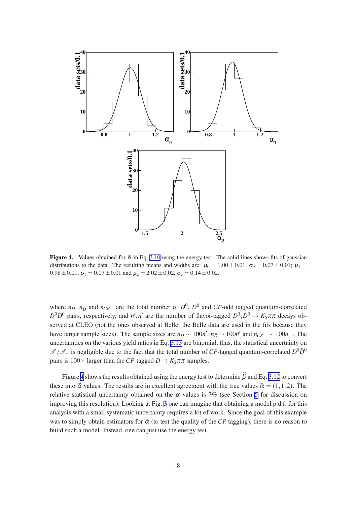

**Figure 4.** Values obtained for  $\vec{\alpha}$  in Eq. [3.10](#page-6-0) using the energy test. The solid lines shows fits of gaussian distributions to the data. The resulting means and widths are:  $\mu_0 = 1.00 \pm 0.01$ ,  $\sigma_0 = 0.07 \pm 0.01$ ;  $\mu_1 =$  $0.98 \pm 0.01$ ,  $\sigma_1 = 0.07 \pm 0.01$  and  $\mu_2 = 2.02 \pm 0.02$ ,  $\sigma_2 = 0.14 \pm 0.02$ .

where  $n_D$ ,  $n_{\bar{D}}$  and  $n_{CP-}$  are the total number of  $D^0$ ,  $\bar{D}^0$  and *CP*-odd tagged quantum-correlated  $D^0\bar{D}^0$  pairs, respectively, and *n*<sup>*i*</sup>, *n*<sup>*i*</sup> are the number of flavor-tagged  $D^0$ ,  $\bar{D}^0 \to K_S \pi \pi$  decays observed at CLEO (not the ones observed at Belle; the Belle data are used in the fits because they have larger sample sizes). The sample sizes are  $n_D \sim 100n'$ ,  $n_{\bar{D}} \sim 100\bar{n}'$  and  $n_{CP-} \sim 100n$ <sub>−</sub>. The uncertainties on the various yield ratios in Eq. [3.13](#page-7-0) are binomial; thus, the statistical uncertainty on  $I/I$  is negligible due to the fact that the total number of *CP*-tagged quantum-correlated  $D^0\bar{D}^0$ pairs is  $100 \times$  larger than the *CP*-tagged  $D \rightarrow K_S \pi \pi$  samples.

Figure 4 shows the results obtained using the energy test to determine  $\beta$  and Eq. [3.12](#page-7-0) to convert these into  $\vec{\alpha}$  values. The results are in excellent agreement with the true values  $\vec{\alpha} = (1,1,2)$ . The relative statistical uncertainty obtained on the  $\alpha$  values is 7% (see Section [5](#page-9-0) for discussion on improving this resolution). Looking at Fig. [3](#page-7-0) one can imagine that obtaining a model p.d.f. for this analysis with a small systematic uncertainty requires a lot of work. Since the goal of this example was to simply obtain estimators for  $\vec{\alpha}$  (to test the quality of the *CP* tagging), there is no reason to build such a model. Instead, one can just use the energy test.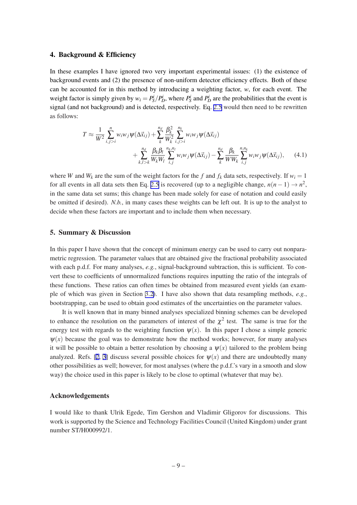#### <span id="page-9-0"></span>4. Background & Efficiency

In these examples I have ignored two very important experimental issues: (1) the existence of background events and (2) the presence of non-uniform detector efficiency effects. Both of these can be accounted for in this method by introducing a weighting factor, *w*, for each event. The weight factor is simply given by  $w_i = P_S^i/P_D^i$ , where  $P_S^i$  and  $P_D^i$  are the probabilities that the event is signal (and not background) and is detected, respectively. Eq. [2.5](#page-2-0) would then need to be rewritten as follows:

$$
T \approx \frac{1}{W^2} \sum_{i,j>i}^{n} w_i w_j \psi(\Delta \vec{x}_{ij}) + \sum_{k}^{n_d} \frac{\beta_k^2}{W_k^2} \sum_{i,j>i}^{n_k} w_i w_j \psi(\Delta \vec{x}_{ij}) + \sum_{k,l>k}^{n_d} \frac{\beta_k \beta_l}{W_k W_l} \sum_{i,j}^{n_k, n_l} w_i w_j \psi(\Delta \vec{x}_{ij}) - \sum_{k}^{n_d} \frac{\beta_k}{W W_k} \sum_{i,j}^{n, n_k} w_i w_j \psi(\Delta \vec{x}_{ij}), \quad (4.1)
$$

where *W* and  $W_k$  are the sum of the weight factors for the *f* and  $f_k$  data sets, respectively. If  $w_i = 1$ for all events in all data sets then Eq. [2.5](#page-2-0) is recovered (up to a negligible change,  $n(n-1) \rightarrow n^2$ , in the same data set sums; this change has been made solely for ease of notation and could easily be omitted if desired). *N.b.*, in many cases these weights can be left out. It is up to the analyst to decide when these factors are important and to include them when necessary.

# 5. Summary & Discussion

In this paper I have shown that the concept of minimum energy can be used to carry out nonparametric regression. The parameter values that are obtained give the fractional probability associated with each p.d.f. For many analyses, *e.g.*, signal-background subtraction, this is sufficient. To convert these to coefficients of unnormalized functions requires inputting the ratio of the integrals of these functions. These ratios can often times be obtained from measured event yields (an example of which was given in Section [3.2\)](#page-5-0). I have also shown that data resampling methods, *e.g.*, bootstrapping, can be used to obtain good estimates of the uncertainties on the parameter values.

It is well known that in many binned analyses specialized binning schemes can be developed to enhance the resolution on the parameters of interest of the  $\chi^2$  test. The same is true for the energy test with regards to the weighting function  $\psi(x)$ . In this paper I chose a simple generic  $\psi(x)$  because the goal was to demonstrate how the method works; however, for many analyses it will be possible to obtain a better resolution by choosing a  $\psi(x)$  tailored to the problem being analyzed. Refs. [[2](#page-10-0), [3\]](#page-10-0) discuss several possible choices for  $\psi(x)$  and there are undoubtedly many other possibilities as well; however, for most analyses (where the p.d.f.'s vary in a smooth and slow way) the choice used in this paper is likely to be close to optimal (whatever that may be).

#### Acknowledgements

I would like to thank Ulrik Egede, Tim Gershon and Vladimir Gligorov for discussions. This work is supported by the Science and Technology Facilities Council (United Kingdom) under grant number ST/H000992/1.